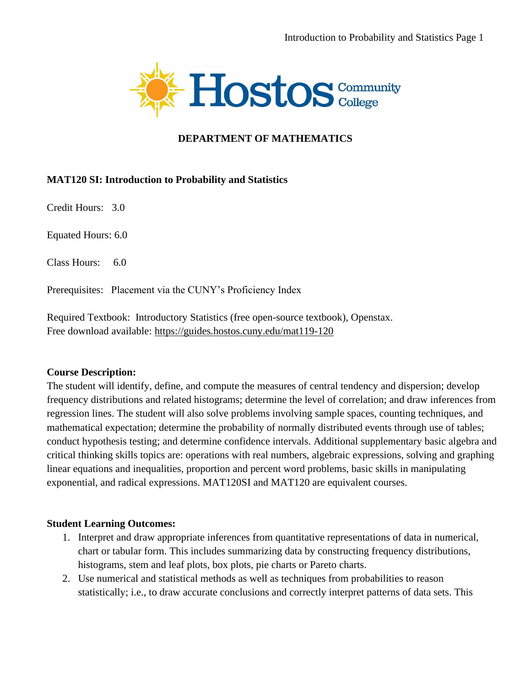

#### **DEPARTMENT OF MATHEMATICS**

#### **MAT120 SI: Introduction to Probability and Statistics**

Credit Hours: 3.0

Equated Hours: 6.0

Class Hours: 6.0

Prerequisites: Placement via the CUNY's Proficiency Index

Required Textbook: Introductory Statistics (free open-source textbook), Openstax. Free download available: <https://guides.hostos.cuny.edu/mat119-120>

#### **Course Description:**

The student will identify, define, and compute the measures of central tendency and dispersion; develop frequency distributions and related histograms; determine the level of correlation; and draw inferences from regression lines. The student will also solve problems involving sample spaces, counting techniques, and mathematical expectation; determine the probability of normally distributed events through use of tables; conduct hypothesis testing; and determine confidence intervals. Additional supplementary basic algebra and critical thinking skills topics are: operations with real numbers, algebraic expressions, solving and graphing linear equations and inequalities, proportion and percent word problems, basic skills in manipulating exponential, and radical expressions. MAT120SI and MAT120 are equivalent courses.

#### **Student Learning Outcomes:**

- 1. Interpret and draw appropriate inferences from quantitative representations of data in numerical, chart or tabular form. This includes summarizing data by constructing frequency distributions, histograms, stem and leaf plots, box plots, pie charts or Pareto charts.
- 2. Use numerical and statistical methods as well as techniques from probabilities to reason statistically; i.e., to draw accurate conclusions and correctly interpret patterns of data sets. This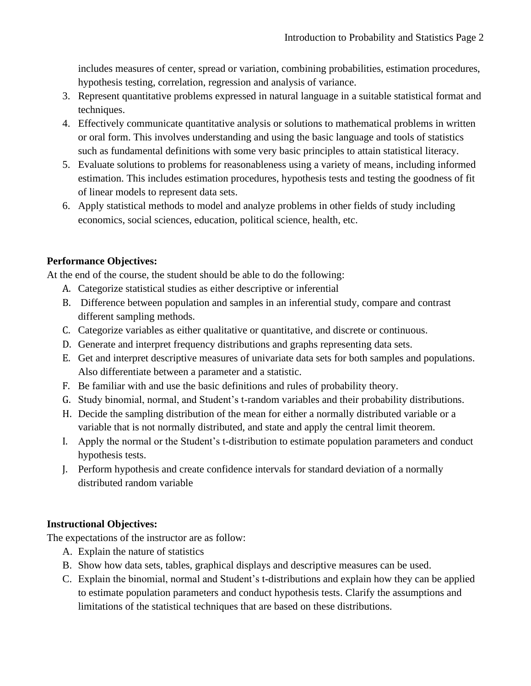includes measures of center, spread or variation, combining probabilities, estimation procedures, hypothesis testing, correlation, regression and analysis of variance.

- 3. Represent quantitative problems expressed in natural language in a suitable statistical format and techniques.
- 4. Effectively communicate quantitative analysis or solutions to mathematical problems in written or oral form. This involves understanding and using the basic language and tools of statistics such as fundamental definitions with some very basic principles to attain statistical literacy.
- 5. Evaluate solutions to problems for reasonableness using a variety of means, including informed estimation. This includes estimation procedures, hypothesis tests and testing the goodness of fit of linear models to represent data sets.
- 6. Apply statistical methods to model and analyze problems in other fields of study including economics, social sciences, education, political science, health, etc.

# **Performance Objectives:**

At the end of the course, the student should be able to do the following:

- A. Categorize statistical studies as either descriptive or inferential
- B. Difference between population and samples in an inferential study, compare and contrast different sampling methods.
- C. Categorize variables as either qualitative or quantitative, and discrete or continuous.
- D. Generate and interpret frequency distributions and graphs representing data sets.
- E. Get and interpret descriptive measures of univariate data sets for both samples and populations. Also differentiate between a parameter and a statistic.
- F. Be familiar with and use the basic definitions and rules of probability theory.
- G. Study binomial, normal, and Student's t-random variables and their probability distributions.
- H. Decide the sampling distribution of the mean for either a normally distributed variable or a variable that is not normally distributed, and state and apply the central limit theorem.
- I. Apply the normal or the Student's t-distribution to estimate population parameters and conduct hypothesis tests.
- J. Perform hypothesis and create confidence intervals for standard deviation of a normally distributed random variable

# **Instructional Objectives:**

The expectations of the instructor are as follow:

- A. Explain the nature of statistics
- B. Show how data sets, tables, graphical displays and descriptive measures can be used.
- C. Explain the binomial, normal and Student's t-distributions and explain how they can be applied to estimate population parameters and conduct hypothesis tests. Clarify the assumptions and limitations of the statistical techniques that are based on these distributions.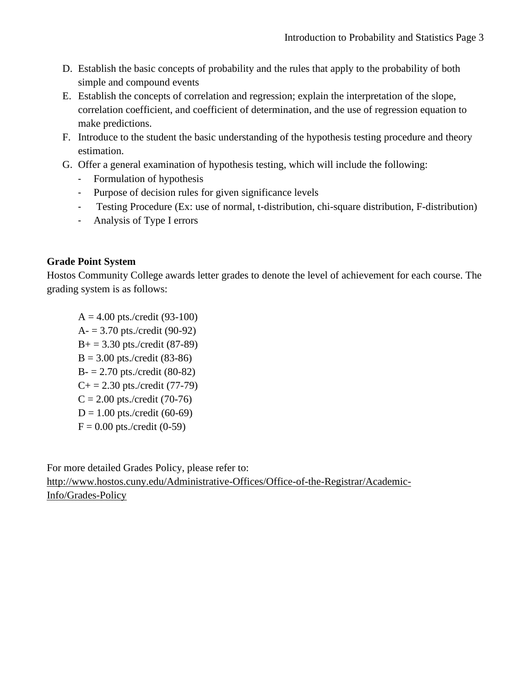- D. Establish the basic concepts of probability and the rules that apply to the probability of both simple and compound events
- E. Establish the concepts of correlation and regression; explain the interpretation of the slope, correlation coefficient, and coefficient of determination, and the use of regression equation to make predictions.
- F. Introduce to the student the basic understanding of the hypothesis testing procedure and theory estimation.
- G. Offer a general examination of hypothesis testing, which will include the following:
	- Formulation of hypothesis
	- Purpose of decision rules for given significance levels
	- Testing Procedure (Ex: use of normal, t-distribution, chi-square distribution, F-distribution)
	- Analysis of Type I errors

### **Grade Point System**

Hostos Community College awards letter grades to denote the level of achievement for each course. The grading system is as follows:

 $A = 4.00$  pts./credit (93-100)  $A = 3.70$  pts./credit (90-92)  $B_+ = 3.30$  pts./credit (87-89)  $B = 3.00$  pts./credit (83-86)  $B = 2.70$  pts./credit (80-82)  $C+= 2.30$  pts./credit (77-79)  $C = 2.00$  pts./credit (70-76)  $D = 1.00$  pts./credit (60-69)  $F = 0.00$  pts./credit (0-59)

For more detailed Grades Policy, please refer to: [http://www.hostos.cuny.edu/Administrative-Offices/Office-of-the-Registrar/Academic-](http://www.hostos.cuny.edu/Administrative-Offices/Office-of-the-Registrar/Academic-Info/Grades-Policy)[Info/Grades-Policy](http://www.hostos.cuny.edu/Administrative-Offices/Office-of-the-Registrar/Academic-Info/Grades-Policy)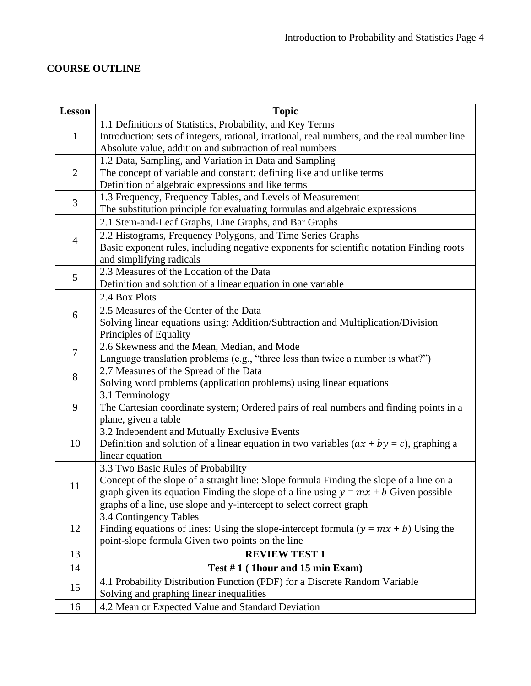# **COURSE OUTLINE**

| <b>Lesson</b>  | <b>Topic</b>                                                                                 |
|----------------|----------------------------------------------------------------------------------------------|
| $\mathbf{1}$   | 1.1 Definitions of Statistics, Probability, and Key Terms                                    |
|                | Introduction: sets of integers, rational, irrational, real numbers, and the real number line |
|                | Absolute value, addition and subtraction of real numbers                                     |
| $\overline{2}$ | 1.2 Data, Sampling, and Variation in Data and Sampling                                       |
|                | The concept of variable and constant; defining like and unlike terms                         |
|                | Definition of algebraic expressions and like terms                                           |
| 3              | 1.3 Frequency, Frequency Tables, and Levels of Measurement                                   |
|                | The substitution principle for evaluating formulas and algebraic expressions                 |
| 4              | 2.1 Stem-and-Leaf Graphs, Line Graphs, and Bar Graphs                                        |
|                | 2.2 Histograms, Frequency Polygons, and Time Series Graphs                                   |
|                | Basic exponent rules, including negative exponents for scientific notation Finding roots     |
|                | and simplifying radicals                                                                     |
| 5              | 2.3 Measures of the Location of the Data                                                     |
|                | Definition and solution of a linear equation in one variable                                 |
| 6              | 2.4 Box Plots                                                                                |
|                | 2.5 Measures of the Center of the Data                                                       |
|                | Solving linear equations using: Addition/Subtraction and Multiplication/Division             |
|                | Principles of Equality                                                                       |
| $\overline{7}$ | 2.6 Skewness and the Mean, Median, and Mode                                                  |
|                | Language translation problems (e.g., "three less than twice a number is what?")              |
| 8              | 2.7 Measures of the Spread of the Data                                                       |
|                | Solving word problems (application problems) using linear equations                          |
| 9              | 3.1 Terminology                                                                              |
|                | The Cartesian coordinate system; Ordered pairs of real numbers and finding points in a       |
|                | plane, given a table                                                                         |
| 10             | 3.2 Independent and Mutually Exclusive Events                                                |
|                | Definition and solution of a linear equation in two variables $(ax + by = c)$ , graphing a   |
|                | linear equation                                                                              |
| 11             | 3.3 Two Basic Rules of Probability                                                           |
|                | Concept of the slope of a straight line: Slope formula Finding the slope of a line on a      |
|                | graph given its equation Finding the slope of a line using $y = mx + b$ Given possible       |
|                | graphs of a line, use slope and y-intercept to select correct graph                          |
| 12             | 3.4 Contingency Tables                                                                       |
|                | Finding equations of lines: Using the slope-intercept formula $(y = mx + b)$ Using the       |
|                | point-slope formula Given two points on the line                                             |
| 13             | <b>REVIEW TEST 1</b>                                                                         |
| 14             | Test $# 1$ (1hour and 15 min Exam)                                                           |
| 15             | 4.1 Probability Distribution Function (PDF) for a Discrete Random Variable                   |
|                | Solving and graphing linear inequalities                                                     |
| 16             | 4.2 Mean or Expected Value and Standard Deviation                                            |